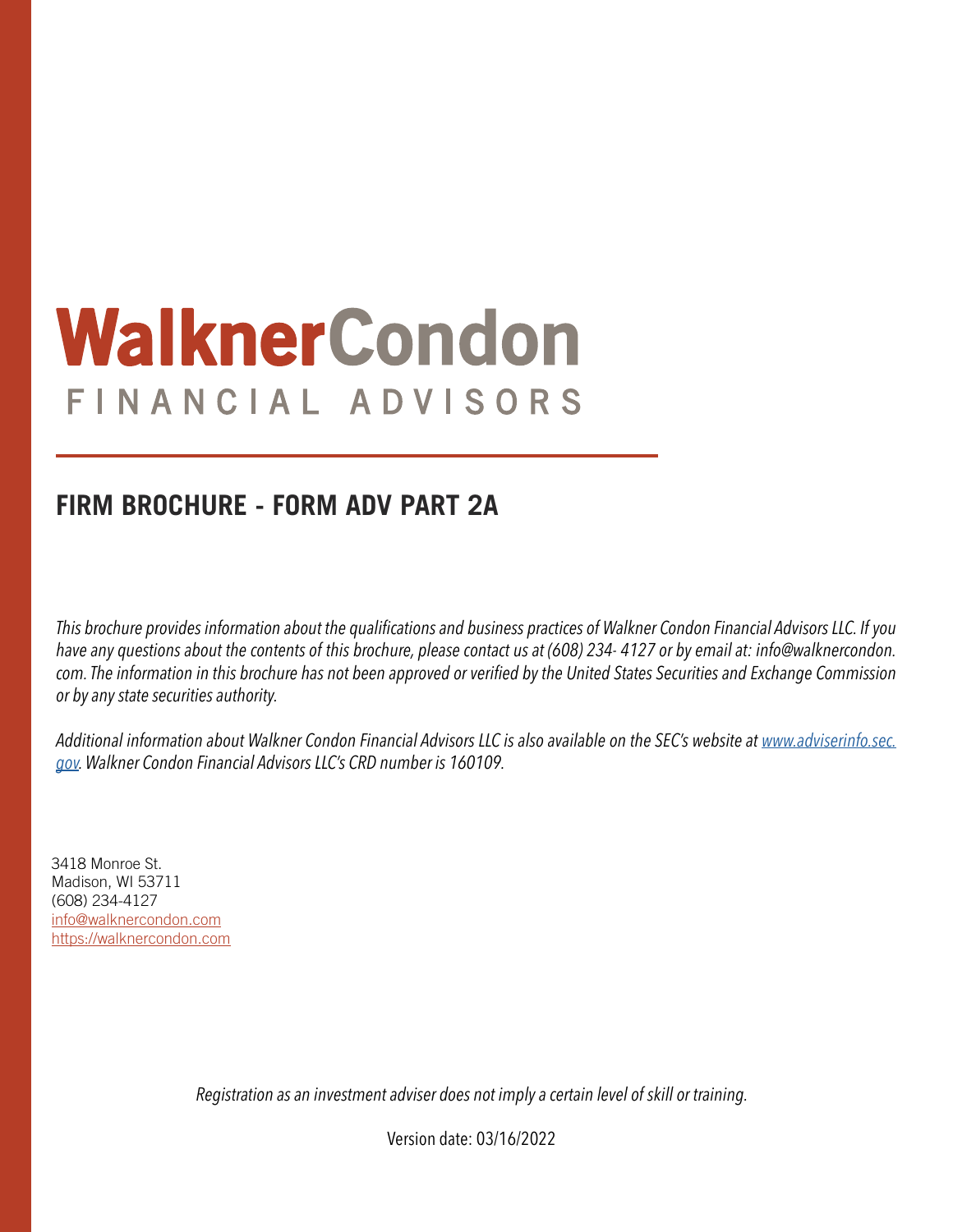# WalknerCondon FINANCIAL ADVISORS

# **FIRM BROCHURE - FORM ADV PART 2A**

*This brochure provides information about the qualifications and business practices of Walkner Condon Financial Advisors LLC. If you have any questions about the contents of this brochure, please contact us at (608) 234- 4127 or by email at: info@walknercondon. com. The information in this brochure has not been approved or verified by the United States Securities and Exchange Commission or by any state securities authority.*

Additional information about Walkner Condon Financial Advisors LLC is also available on the SEC's website at [www.adviserinfo.sec.](http://www.adviserinfo.sec.gov) *[gov.](http://www.adviserinfo.sec.gov) Walkner Condon Financial Advisors LLC's CRD number is 160109.*

3418 Monroe St. Madison, WI 53711 (608) 234-4127 [info@walknercondon.com](mailto:info%40walknercondon.com%20?subject=) <https://walknercondon.com>

*Registration as an investment adviser does not imply a certain level of skill or training.*

Version date: 03/16/2022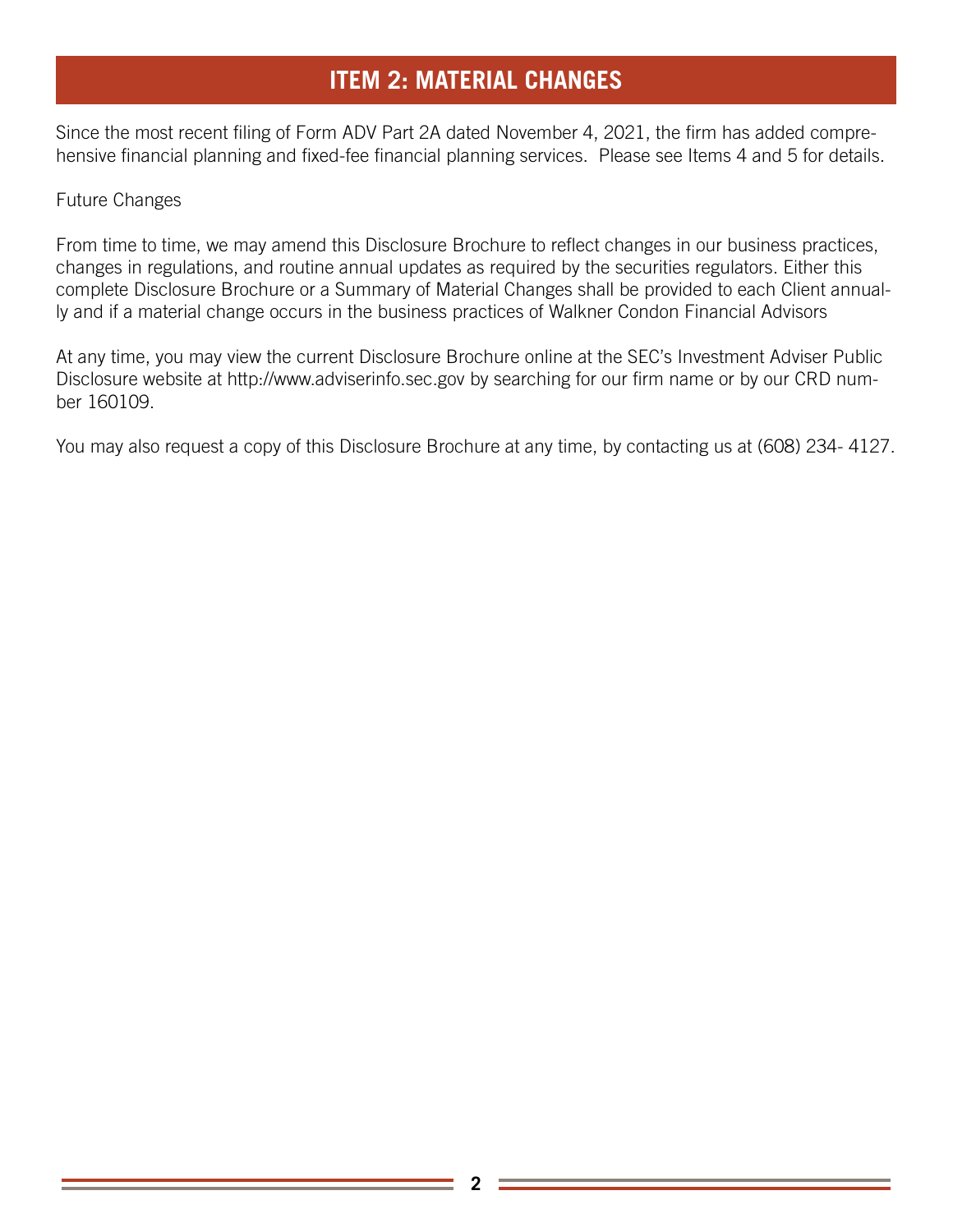# **ITEM 2: MATERIAL CHANGES**

Since the most recent filing of Form ADV Part 2A dated November 4, 2021, the firm has added comprehensive financial planning and fixed-fee financial planning services. Please see Items 4 and 5 for details.

#### Future Changes

From time to time, we may amend this Disclosure Brochure to reflect changes in our business practices, changes in regulations, and routine annual updates as required by the securities regulators. Either this complete Disclosure Brochure or a Summary of Material Changes shall be provided to each Client annually and if a material change occurs in the business practices of Walkner Condon Financial Advisors

At any time, you may view the current Disclosure Brochure online at the SEC's Investment Adviser Public Disclosure website at http://www.adviserinfo.sec.gov by searching for our firm name or by our CRD number 160109.

You may also request a copy of this Disclosure Brochure at any time, by contacting us at (608) 234- 4127.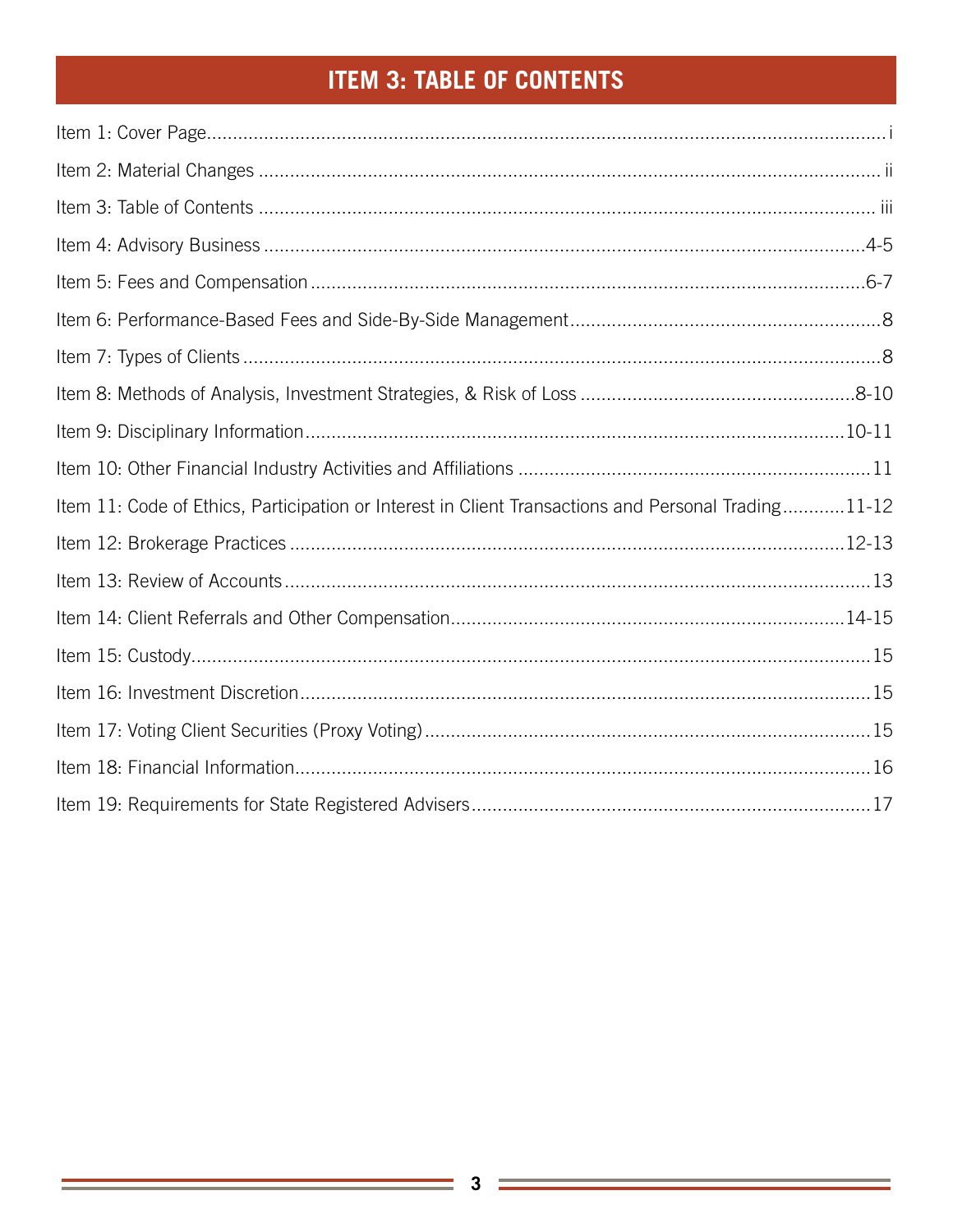# **ITEM 3: TABLE OF CONTENTS**

| Item 11: Code of Ethics, Participation or Interest in Client Transactions and Personal Trading11-12 |  |
|-----------------------------------------------------------------------------------------------------|--|
|                                                                                                     |  |
|                                                                                                     |  |
|                                                                                                     |  |
|                                                                                                     |  |
|                                                                                                     |  |
|                                                                                                     |  |
|                                                                                                     |  |
|                                                                                                     |  |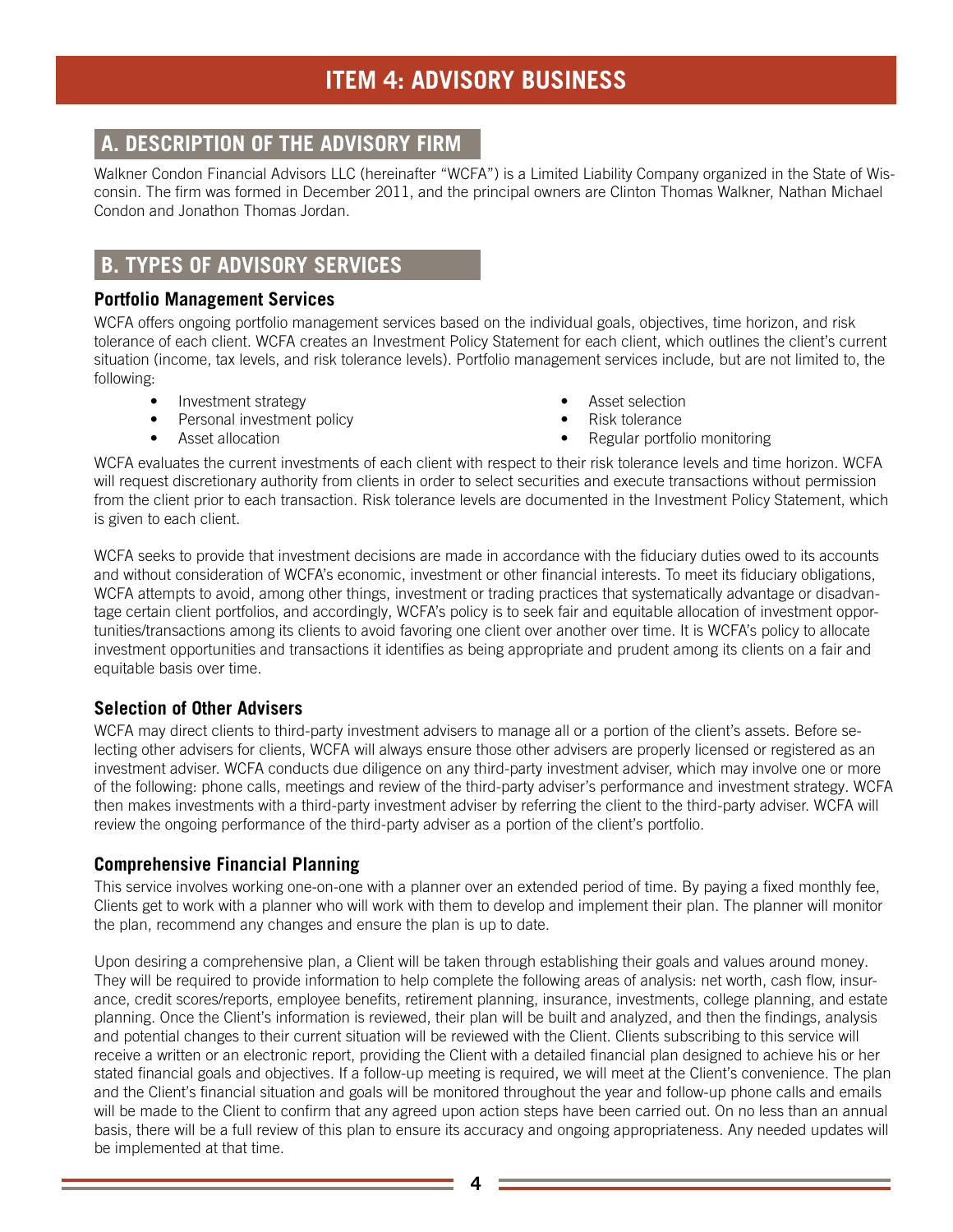# **ITEM 4: ADVISORY BUSINESS**

## **A. DESCRIPTION OF THE ADVISORY FIRM**

Walkner Condon Financial Advisors LLC (hereinafter "WCFA") is a Limited Liability Company organized in the State of Wisconsin. The firm was formed in December 2011, and the principal owners are Clinton Thomas Walkner, Nathan Michael Condon and Jonathon Thomas Jordan.

### **B. TYPES OF ADVISORY SERVICES**

#### **Portfolio Management Services**

WCFA offers ongoing portfolio management services based on the individual goals, objectives, time horizon, and risk tolerance of each client. WCFA creates an Investment Policy Statement for each client, which outlines the client's current situation (income, tax levels, and risk tolerance levels). Portfolio management services include, but are not limited to, the following:

- Investment strategy
- Personal investment policy
- Asset allocation
- Asset selection
- Risk tolerance
- Regular portfolio monitoring

WCFA evaluates the current investments of each client with respect to their risk tolerance levels and time horizon. WCFA will request discretionary authority from clients in order to select securities and execute transactions without permission from the client prior to each transaction. Risk tolerance levels are documented in the Investment Policy Statement, which is given to each client.

WCFA seeks to provide that investment decisions are made in accordance with the fiduciary duties owed to its accounts and without consideration of WCFA's economic, investment or other financial interests. To meet its fiduciary obligations, WCFA attempts to avoid, among other things, investment or trading practices that systematically advantage or disadvantage certain client portfolios, and accordingly, WCFA's policy is to seek fair and equitable allocation of investment opportunities/transactions among its clients to avoid favoring one client over another over time. It is WCFA's policy to allocate investment opportunities and transactions it identifies as being appropriate and prudent among its clients on a fair and equitable basis over time.

#### **Selection of Other Advisers**

WCFA may direct clients to third-party investment advisers to manage all or a portion of the client's assets. Before selecting other advisers for clients, WCFA will always ensure those other advisers are properly licensed or registered as an investment adviser. WCFA conducts due diligence on any third-party investment adviser, which may involve one or more of the following: phone calls, meetings and review of the third-party adviser's performance and investment strategy. WCFA then makes investments with a third-party investment adviser by referring the client to the third-party adviser. WCFA will review the ongoing performance of the third-party adviser as a portion of the client's portfolio.

#### **Comprehensive Financial Planning**

This service involves working one-on-one with a planner over an extended period of time. By paying a fixed monthly fee, Clients get to work with a planner who will work with them to develop and implement their plan. The planner will monitor the plan, recommend any changes and ensure the plan is up to date.

Upon desiring a comprehensive plan, a Client will be taken through establishing their goals and values around money. They will be required to provide information to help complete the following areas of analysis: net worth, cash flow, insurance, credit scores/reports, employee benefits, retirement planning, insurance, investments, college planning, and estate planning. Once the Client's information is reviewed, their plan will be built and analyzed, and then the findings, analysis and potential changes to their current situation will be reviewed with the Client. Clients subscribing to this service will receive a written or an electronic report, providing the Client with a detailed financial plan designed to achieve his or her stated financial goals and objectives. If a follow-up meeting is required, we will meet at the Client's convenience. The plan and the Client's financial situation and goals will be monitored throughout the year and follow-up phone calls and emails will be made to the Client to confirm that any agreed upon action steps have been carried out. On no less than an annual basis, there will be a full review of this plan to ensure its accuracy and ongoing appropriateness. Any needed updates will be implemented at that time.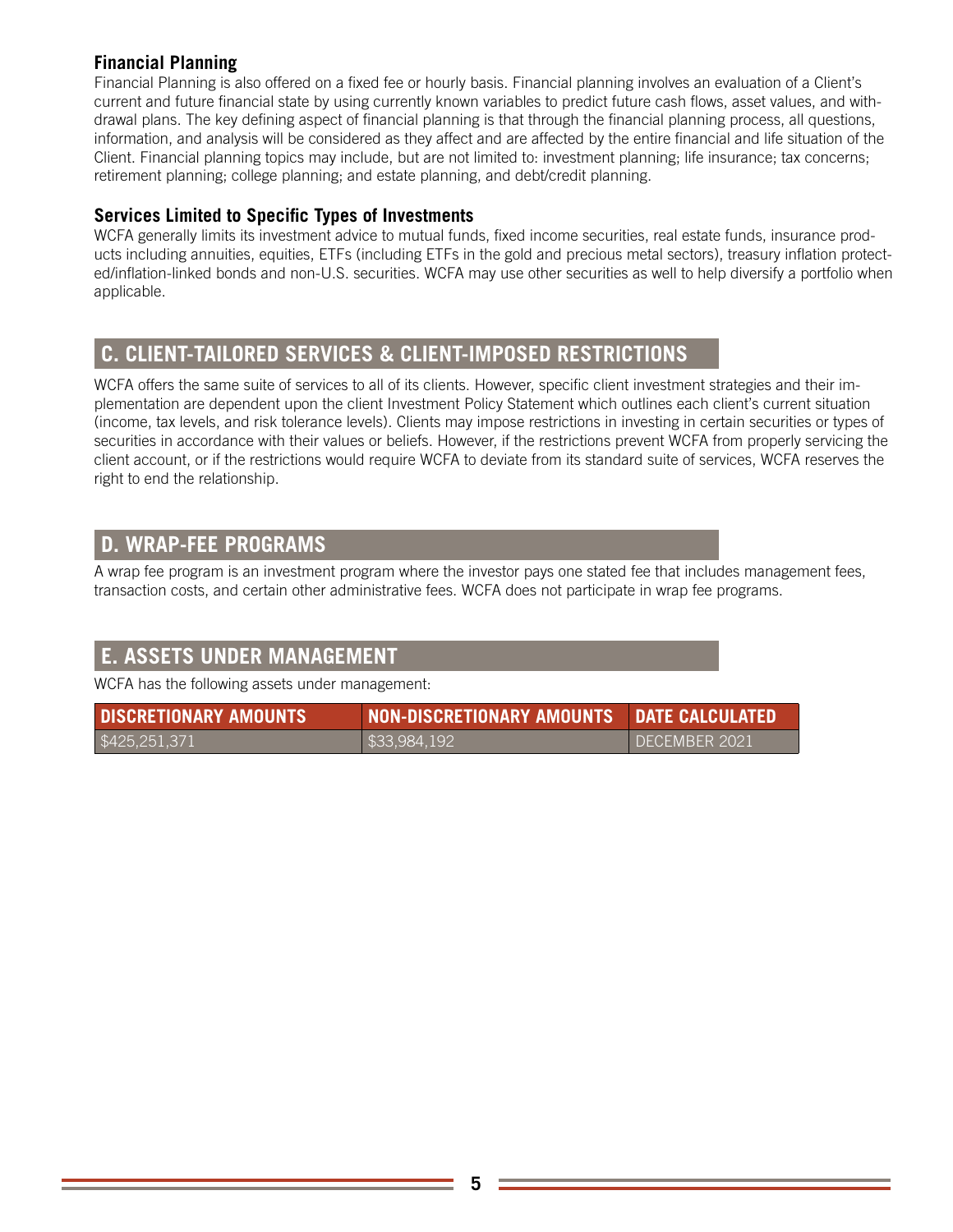#### **Financial Planning**

Financial Planning is also offered on a fixed fee or hourly basis. Financial planning involves an evaluation of a Client's current and future financial state by using currently known variables to predict future cash flows, asset values, and withdrawal plans. The key defining aspect of financial planning is that through the financial planning process, all questions, information, and analysis will be considered as they affect and are affected by the entire financial and life situation of the Client. Financial planning topics may include, but are not limited to: investment planning; life insurance; tax concerns; retirement planning; college planning; and estate planning, and debt/credit planning.

#### **Services Limited to Specific Types of Investments**

WCFA generally limits its investment advice to mutual funds, fixed income securities, real estate funds, insurance products including annuities, equities, ETFs (including ETFs in the gold and precious metal sectors), treasury inflation protected/inflation-linked bonds and non-U.S. securities. WCFA may use other securities as well to help diversify a portfolio when applicable.

### **C. CLIENT-TAILORED SERVICES & CLIENT-IMPOSED RESTRICTIONS**

WCFA offers the same suite of services to all of its clients. However, specific client investment strategies and their implementation are dependent upon the client Investment Policy Statement which outlines each client's current situation (income, tax levels, and risk tolerance levels). Clients may impose restrictions in investing in certain securities or types of securities in accordance with their values or beliefs. However, if the restrictions prevent WCFA from properly servicing the client account, or if the restrictions would require WCFA to deviate from its standard suite of services, WCFA reserves the right to end the relationship.

## **D. WRAP-FEE PROGRAMS**

A wrap fee program is an investment program where the investor pays one stated fee that includes management fees, transaction costs, and certain other administrative fees. WCFA does not participate in wrap fee programs.

## **E. ASSETS UNDER MANAGEMENT**

WCFA has the following assets under management:

| <b>DISCRETIONARY AMOUNTS</b> | NON-DISCRETIONARY AMOUNTS DATE CALCULATED |               |
|------------------------------|-------------------------------------------|---------------|
| $\frac{1}{2}425,251,371$     | \$33,984,192                              | DECEMBER 2021 |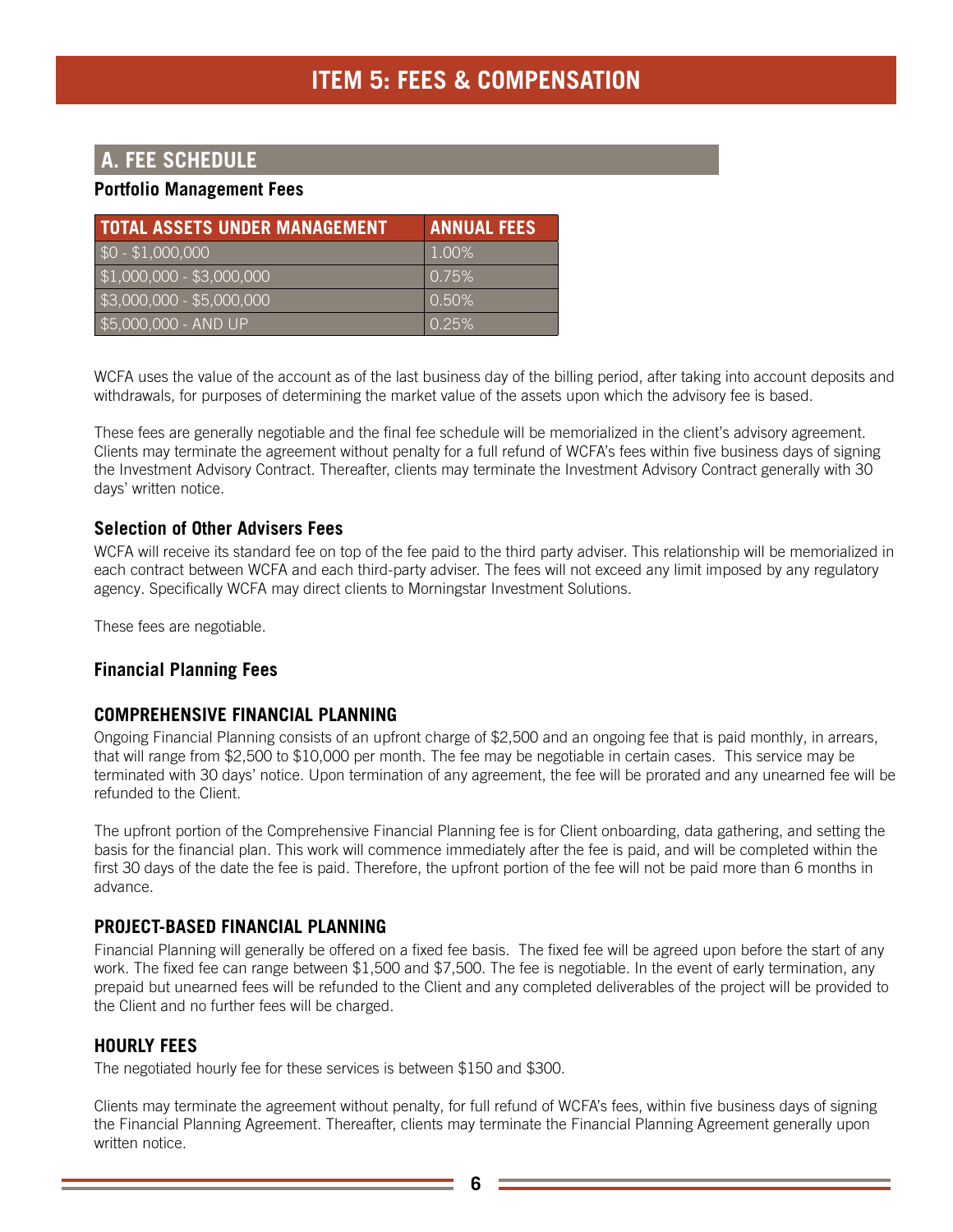# **A. FEE SCHEDULE**

#### **Portfolio Management Fees**

| <b>TOTAL ASSETS UNDER MANAGEMENT</b> | <b>ANNUAL FEES</b> |
|--------------------------------------|--------------------|
| $$0 - $1,000,000$                    | $1.00\%$           |
| $$1,000,000 - $3,000,000$            | 0.75%              |
| $$3,000,000 - $5,000,000$            | 0.50%              |
| \$5,000,000 - AND UP                 | 0.25%              |

WCFA uses the value of the account as of the last business day of the billing period, after taking into account deposits and withdrawals, for purposes of determining the market value of the assets upon which the advisory fee is based.

These fees are generally negotiable and the final fee schedule will be memorialized in the client's advisory agreement. Clients may terminate the agreement without penalty for a full refund of WCFA's fees within five business days of signing the Investment Advisory Contract. Thereafter, clients may terminate the Investment Advisory Contract generally with 30 days' written notice.

#### **Selection of Other Advisers Fees**

WCFA will receive its standard fee on top of the fee paid to the third party adviser. This relationship will be memorialized in each contract between WCFA and each third-party adviser. The fees will not exceed any limit imposed by any regulatory agency. Specifically WCFA may direct clients to Morningstar Investment Solutions.

These fees are negotiable.

#### **Financial Planning Fees**

#### **COMPREHENSIVE FINANCIAL PLANNING**

Ongoing Financial Planning consists of an upfront charge of \$2,500 and an ongoing fee that is paid monthly, in arrears, that will range from \$2,500 to \$10,000 per month. The fee may be negotiable in certain cases. This service may be terminated with 30 days' notice. Upon termination of any agreement, the fee will be prorated and any unearned fee will be refunded to the Client.

The upfront portion of the Comprehensive Financial Planning fee is for Client onboarding, data gathering, and setting the basis for the financial plan. This work will commence immediately after the fee is paid, and will be completed within the first 30 days of the date the fee is paid. Therefore, the upfront portion of the fee will not be paid more than 6 months in advance.

#### **PROJECT-BASED FINANCIAL PLANNING**

Financial Planning will generally be offered on a fixed fee basis. The fixed fee will be agreed upon before the start of any work. The fixed fee can range between \$1,500 and \$7,500. The fee is negotiable. In the event of early termination, any prepaid but unearned fees will be refunded to the Client and any completed deliverables of the project will be provided to the Client and no further fees will be charged.

#### **HOURLY FEES**

The negotiated hourly fee for these services is between \$150 and \$300.

Clients may terminate the agreement without penalty, for full refund of WCFA's fees, within five business days of signing the Financial Planning Agreement. Thereafter, clients may terminate the Financial Planning Agreement generally upon written notice.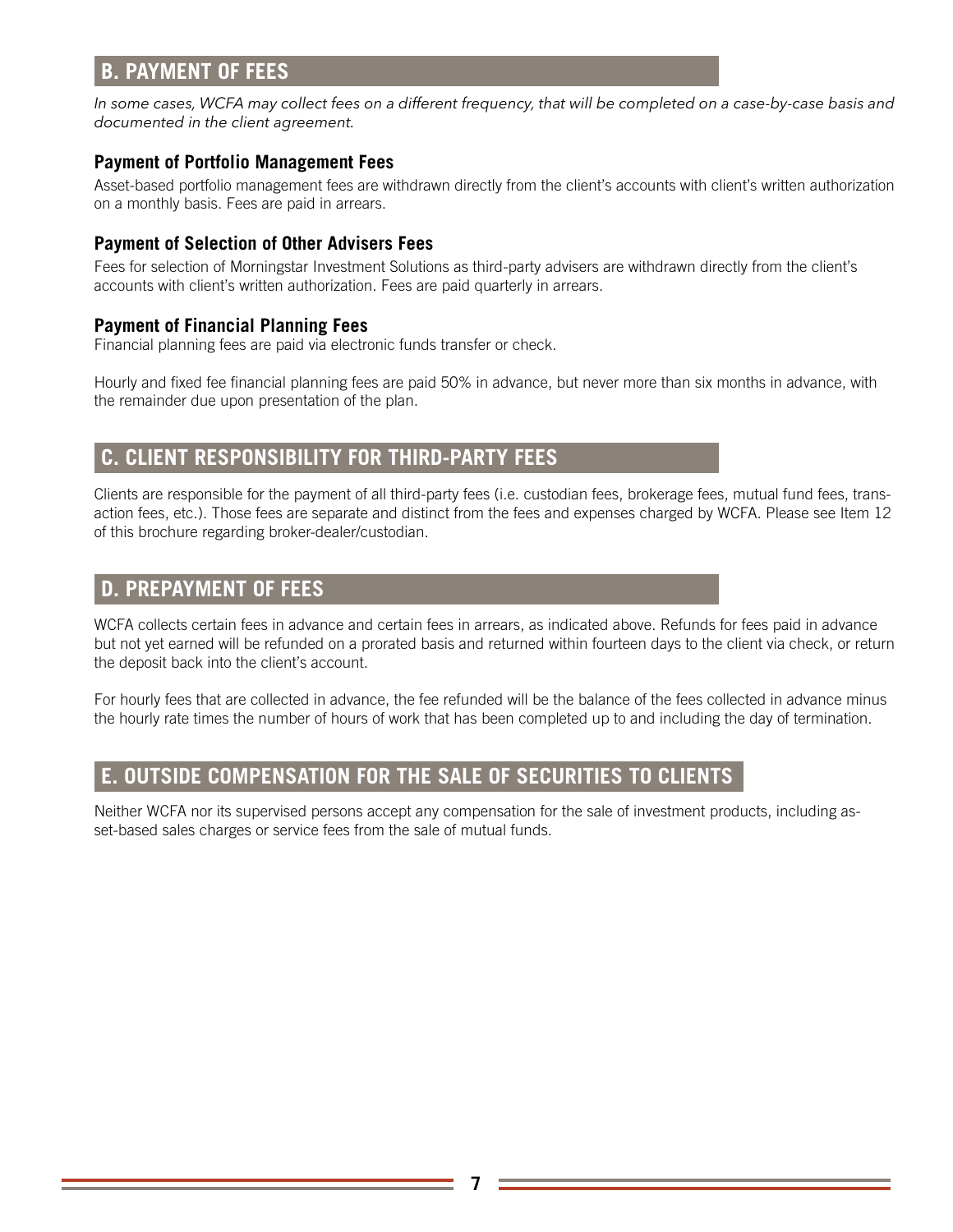# **B. PAYMENT OF FEES**

*In some cases, WCFA may collect fees on a different frequency, that will be completed on a case-by-case basis and documented in the client agreement.*

#### **Payment of Portfolio Management Fees**

Asset-based portfolio management fees are withdrawn directly from the client's accounts with client's written authorization on a monthly basis. Fees are paid in arrears.

#### **Payment of Selection of Other Advisers Fees**

Fees for selection of Morningstar Investment Solutions as third-party advisers are withdrawn directly from the client's accounts with client's written authorization. Fees are paid quarterly in arrears.

#### **Payment of Financial Planning Fees**

Financial planning fees are paid via electronic funds transfer or check.

Hourly and fixed fee financial planning fees are paid 50% in advance, but never more than six months in advance, with the remainder due upon presentation of the plan.

#### **C. CLIENT RESPONSIBILITY FOR THIRD-PARTY FEES**

Clients are responsible for the payment of all third-party fees (i.e. custodian fees, brokerage fees, mutual fund fees, transaction fees, etc.). Those fees are separate and distinct from the fees and expenses charged by WCFA. Please see Item 12 of this brochure regarding broker-dealer/custodian.

## **D. PREPAYMENT OF FEES**

WCFA collects certain fees in advance and certain fees in arrears, as indicated above. Refunds for fees paid in advance but not yet earned will be refunded on a prorated basis and returned within fourteen days to the client via check, or return the deposit back into the client's account.

For hourly fees that are collected in advance, the fee refunded will be the balance of the fees collected in advance minus the hourly rate times the number of hours of work that has been completed up to and including the day of termination.

## **E. OUTSIDE COMPENSATION FOR THE SALE OF SECURITIES TO CLIENTS**

Neither WCFA nor its supervised persons accept any compensation for the sale of investment products, including asset-based sales charges or service fees from the sale of mutual funds.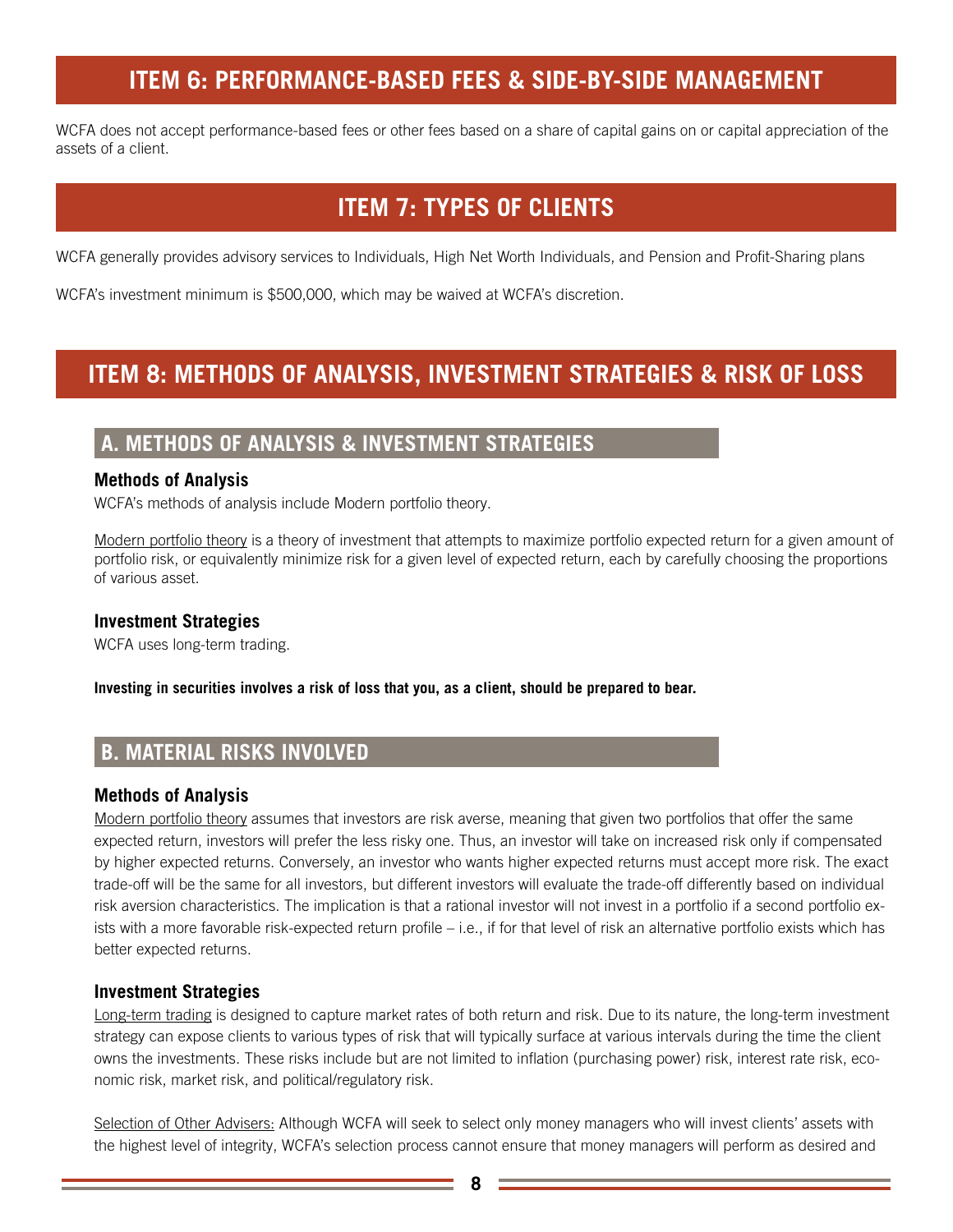# **ITEM 6: PERFORMANCE-BASED FEES & SIDE-BY-SIDE MANAGEMENT**

WCFA does not accept performance-based fees or other fees based on a share of capital gains on or capital appreciation of the assets of a client.

# **ITEM 7: TYPES OF CLIENTS**

WCFA generally provides advisory services to Individuals, High Net Worth Individuals, and Pension and Profit-Sharing plans

WCFA's investment minimum is \$500,000, which may be waived at WCFA's discretion.

# **ITEM 8: METHODS OF ANALYSIS, INVESTMENT STRATEGIES & RISK OF LOSS**

#### **A. METHODS OF ANALYSIS & INVESTMENT STRATEGIES**

#### **Methods of Analysis**

WCFA's methods of analysis include Modern portfolio theory.

Modern portfolio theory is a theory of investment that attempts to maximize portfolio expected return for a given amount of portfolio risk, or equivalently minimize risk for a given level of expected return, each by carefully choosing the proportions of various asset.

#### **Investment Strategies**

WCFA uses long-term trading.

**Investing in securities involves a risk of loss that you, as a client, should be prepared to bear.**

#### **B. MATERIAL RISKS INVOLVED**

#### **Methods of Analysis**

Modern portfolio theory assumes that investors are risk averse, meaning that given two portfolios that offer the same expected return, investors will prefer the less risky one. Thus, an investor will take on increased risk only if compensated by higher expected returns. Conversely, an investor who wants higher expected returns must accept more risk. The exact trade-off will be the same for all investors, but different investors will evaluate the trade-off differently based on individual risk aversion characteristics. The implication is that a rational investor will not invest in a portfolio if a second portfolio exists with a more favorable risk-expected return profile – i.e., if for that level of risk an alternative portfolio exists which has better expected returns.

#### **Investment Strategies**

Long-term trading is designed to capture market rates of both return and risk. Due to its nature, the long-term investment strategy can expose clients to various types of risk that will typically surface at various intervals during the time the client owns the investments. These risks include but are not limited to inflation (purchasing power) risk, interest rate risk, economic risk, market risk, and political/regulatory risk.

Selection of Other Advisers: Although WCFA will seek to select only money managers who will invest clients' assets with the highest level of integrity, WCFA's selection process cannot ensure that money managers will perform as desired and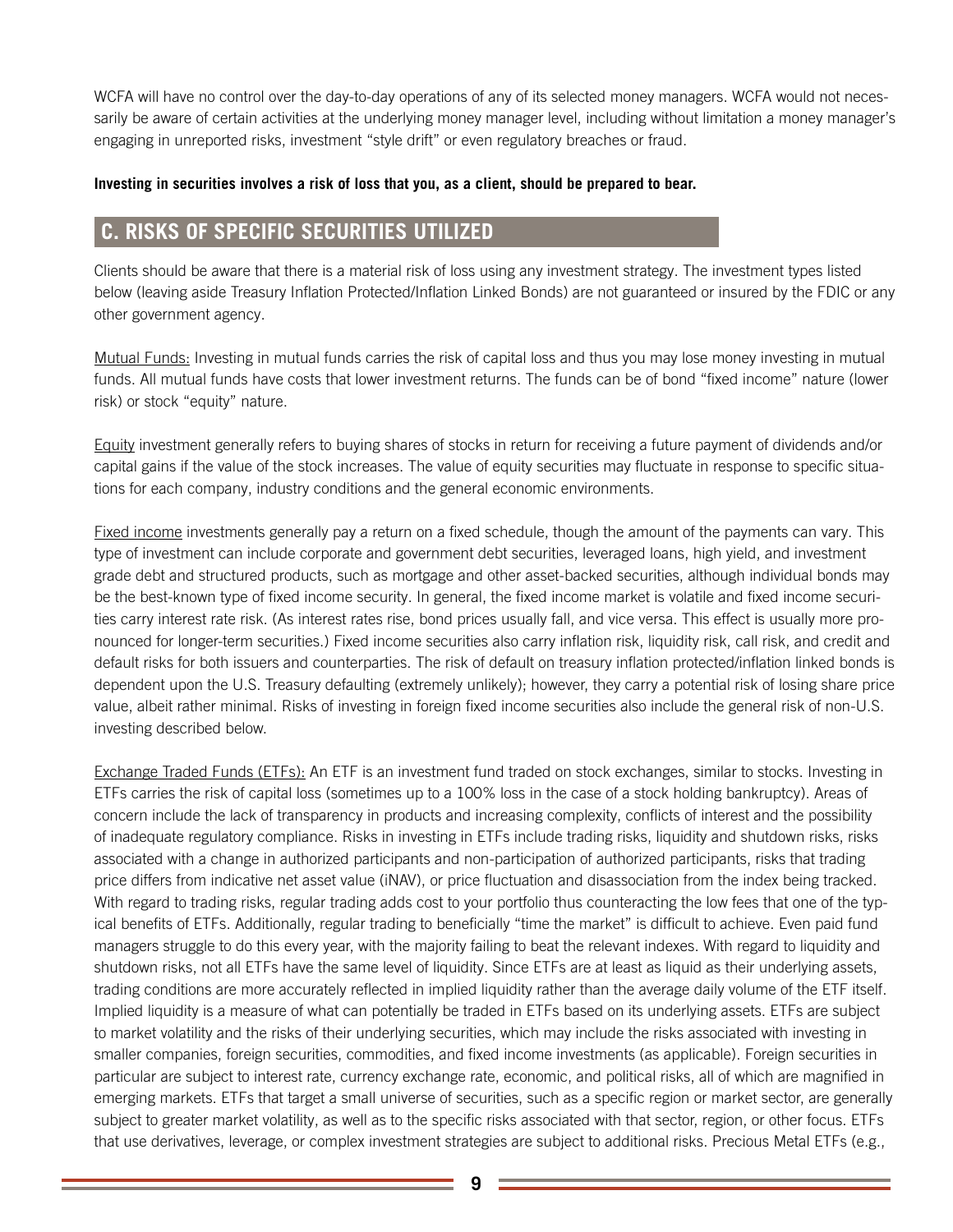WCFA will have no control over the day-to-day operations of any of its selected money managers. WCFA would not necessarily be aware of certain activities at the underlying money manager level, including without limitation a money manager's engaging in unreported risks, investment "style drift" or even regulatory breaches or fraud.

#### **Investing in securities involves a risk of loss that you, as a client, should be prepared to bear.**

#### **C. RISKS OF SPECIFIC SECURITIES UTILIZED**

Clients should be aware that there is a material risk of loss using any investment strategy. The investment types listed below (leaving aside Treasury Inflation Protected/Inflation Linked Bonds) are not guaranteed or insured by the FDIC or any other government agency.

Mutual Funds: Investing in mutual funds carries the risk of capital loss and thus you may lose money investing in mutual funds. All mutual funds have costs that lower investment returns. The funds can be of bond "fixed income" nature (lower risk) or stock "equity" nature.

Equity investment generally refers to buying shares of stocks in return for receiving a future payment of dividends and/or capital gains if the value of the stock increases. The value of equity securities may fluctuate in response to specific situations for each company, industry conditions and the general economic environments.

Fixed income investments generally pay a return on a fixed schedule, though the amount of the payments can vary. This type of investment can include corporate and government debt securities, leveraged loans, high yield, and investment grade debt and structured products, such as mortgage and other asset-backed securities, although individual bonds may be the best-known type of fixed income security. In general, the fixed income market is volatile and fixed income securities carry interest rate risk. (As interest rates rise, bond prices usually fall, and vice versa. This effect is usually more pronounced for longer-term securities.) Fixed income securities also carry inflation risk, liquidity risk, call risk, and credit and default risks for both issuers and counterparties. The risk of default on treasury inflation protected/inflation linked bonds is dependent upon the U.S. Treasury defaulting (extremely unlikely); however, they carry a potential risk of losing share price value, albeit rather minimal. Risks of investing in foreign fixed income securities also include the general risk of non-U.S. investing described below.

Exchange Traded Funds (ETFs): An ETF is an investment fund traded on stock exchanges, similar to stocks. Investing in ETFs carries the risk of capital loss (sometimes up to a 100% loss in the case of a stock holding bankruptcy). Areas of concern include the lack of transparency in products and increasing complexity, conflicts of interest and the possibility of inadequate regulatory compliance. Risks in investing in ETFs include trading risks, liquidity and shutdown risks, risks associated with a change in authorized participants and non-participation of authorized participants, risks that trading price differs from indicative net asset value (iNAV), or price fluctuation and disassociation from the index being tracked. With regard to trading risks, regular trading adds cost to your portfolio thus counteracting the low fees that one of the typical benefits of ETFs. Additionally, regular trading to beneficially "time the market" is difficult to achieve. Even paid fund managers struggle to do this every year, with the majority failing to beat the relevant indexes. With regard to liquidity and shutdown risks, not all ETFs have the same level of liquidity. Since ETFs are at least as liquid as their underlying assets, trading conditions are more accurately reflected in implied liquidity rather than the average daily volume of the ETF itself. Implied liquidity is a measure of what can potentially be traded in ETFs based on its underlying assets. ETFs are subject to market volatility and the risks of their underlying securities, which may include the risks associated with investing in smaller companies, foreign securities, commodities, and fixed income investments (as applicable). Foreign securities in particular are subject to interest rate, currency exchange rate, economic, and political risks, all of which are magnified in emerging markets. ETFs that target a small universe of securities, such as a specific region or market sector, are generally subject to greater market volatility, as well as to the specific risks associated with that sector, region, or other focus. ETFs that use derivatives, leverage, or complex investment strategies are subject to additional risks. Precious Metal ETFs (e.g.,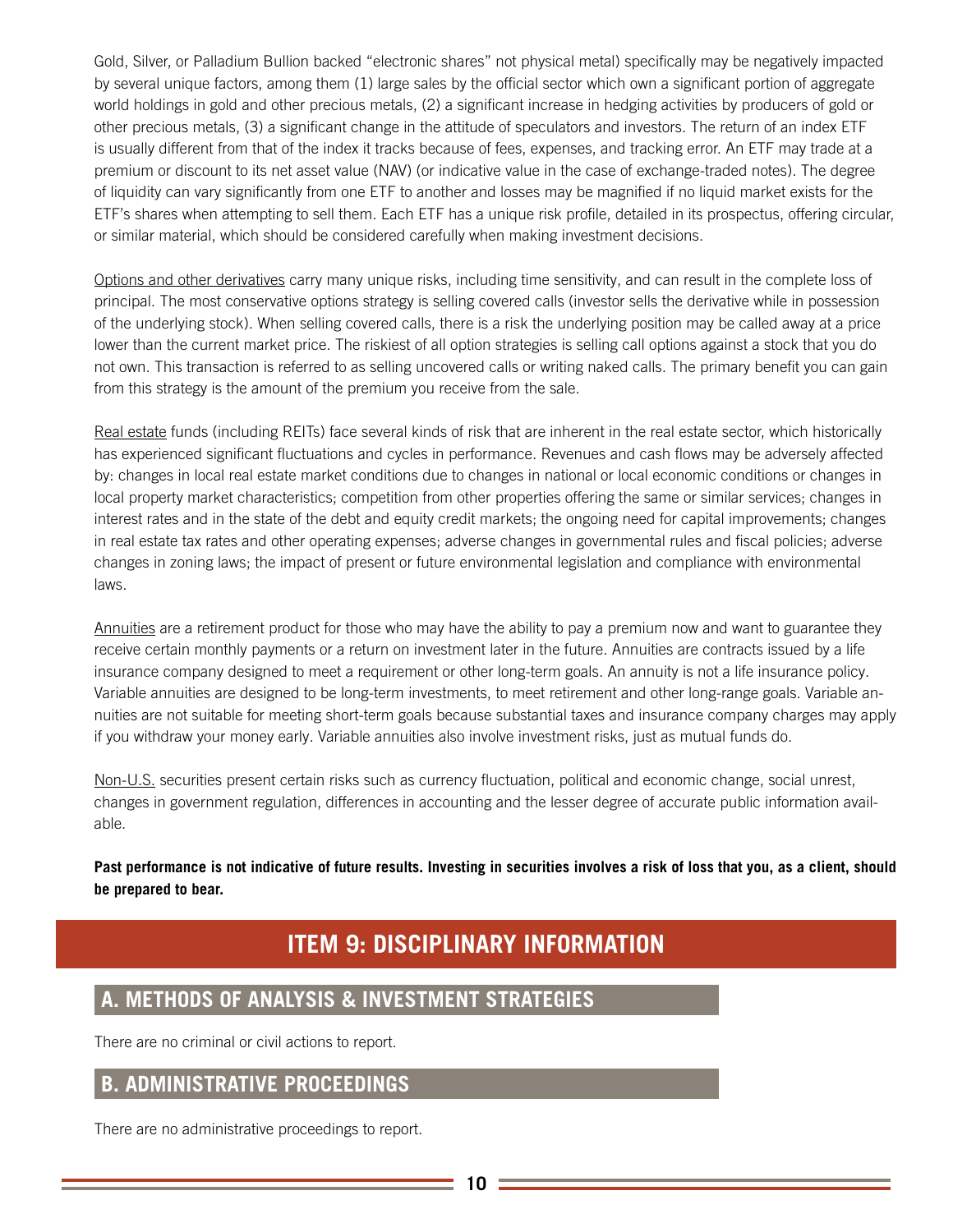Gold, Silver, or Palladium Bullion backed "electronic shares" not physical metal) specifically may be negatively impacted by several unique factors, among them (1) large sales by the official sector which own a significant portion of aggregate world holdings in gold and other precious metals, (2) a significant increase in hedging activities by producers of gold or other precious metals, (3) a significant change in the attitude of speculators and investors. The return of an index ETF is usually different from that of the index it tracks because of fees, expenses, and tracking error. An ETF may trade at a premium or discount to its net asset value (NAV) (or indicative value in the case of exchange-traded notes). The degree of liquidity can vary significantly from one ETF to another and losses may be magnified if no liquid market exists for the ETF's shares when attempting to sell them. Each ETF has a unique risk profile, detailed in its prospectus, offering circular, or similar material, which should be considered carefully when making investment decisions.

Options and other derivatives carry many unique risks, including time sensitivity, and can result in the complete loss of principal. The most conservative options strategy is selling covered calls (investor sells the derivative while in possession of the underlying stock). When selling covered calls, there is a risk the underlying position may be called away at a price lower than the current market price. The riskiest of all option strategies is selling call options against a stock that you do not own. This transaction is referred to as selling uncovered calls or writing naked calls. The primary benefit you can gain from this strategy is the amount of the premium you receive from the sale.

Real estate funds (including REITs) face several kinds of risk that are inherent in the real estate sector, which historically has experienced significant fluctuations and cycles in performance. Revenues and cash flows may be adversely affected by: changes in local real estate market conditions due to changes in national or local economic conditions or changes in local property market characteristics; competition from other properties offering the same or similar services; changes in interest rates and in the state of the debt and equity credit markets; the ongoing need for capital improvements; changes in real estate tax rates and other operating expenses; adverse changes in governmental rules and fiscal policies; adverse changes in zoning laws; the impact of present or future environmental legislation and compliance with environmental laws.

Annuities are a retirement product for those who may have the ability to pay a premium now and want to guarantee they receive certain monthly payments or a return on investment later in the future. Annuities are contracts issued by a life insurance company designed to meet a requirement or other long-term goals. An annuity is not a life insurance policy. Variable annuities are designed to be long-term investments, to meet retirement and other long-range goals. Variable annuities are not suitable for meeting short-term goals because substantial taxes and insurance company charges may apply if you withdraw your money early. Variable annuities also involve investment risks, just as mutual funds do.

Non-U.S. securities present certain risks such as currency fluctuation, political and economic change, social unrest, changes in government regulation, differences in accounting and the lesser degree of accurate public information available.

**Past performance is not indicative of future results. Investing in securities involves a risk of loss that you, as a client, should be prepared to bear.**

# **ITEM 9: DISCIPLINARY INFORMATION**

# **A. METHODS OF ANALYSIS & INVESTMENT STRATEGIES**

There are no criminal or civil actions to report.

#### **B. ADMINISTRATIVE PROCEEDINGS**

There are no administrative proceedings to report.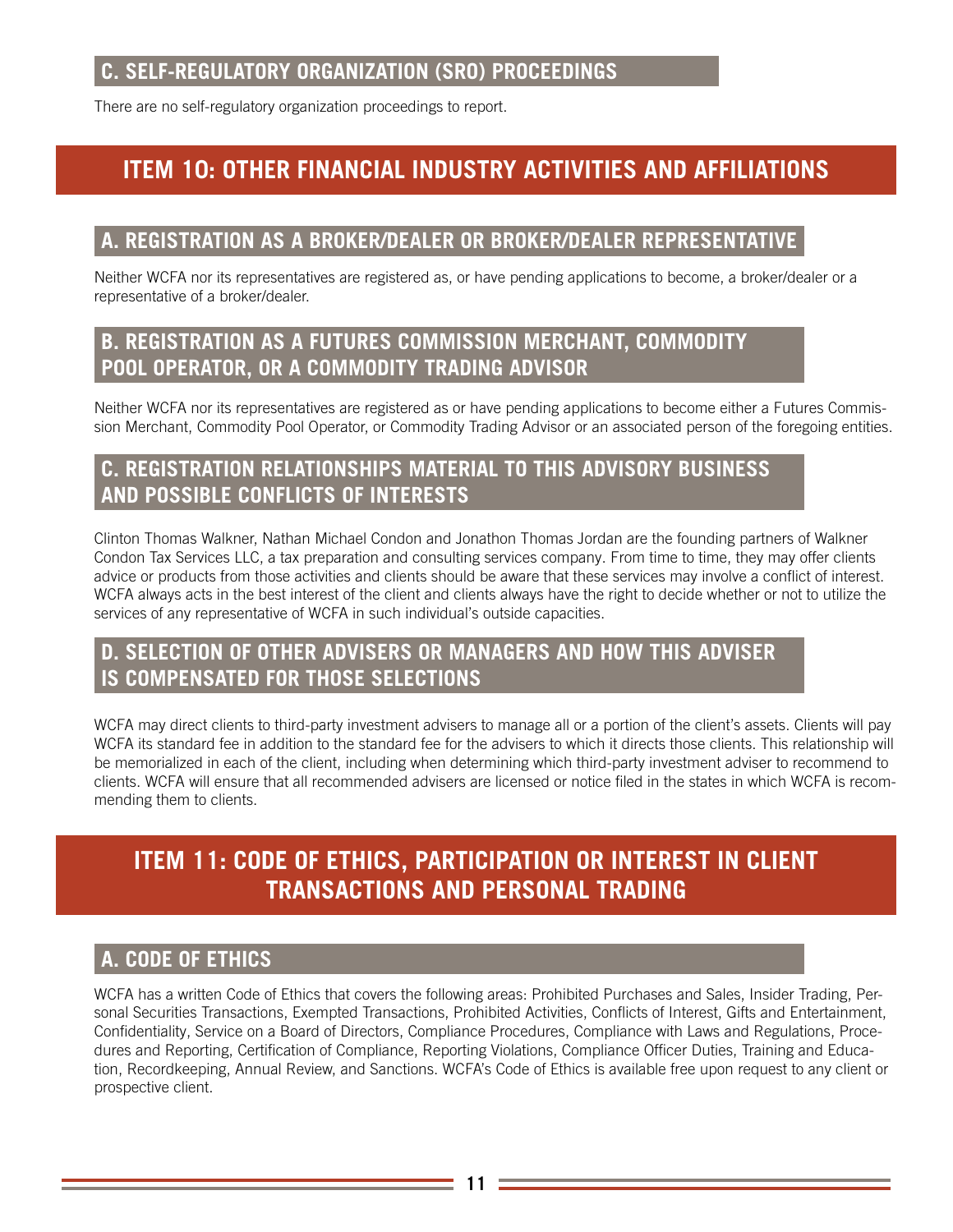#### **C. SELF-REGULATORY ORGANIZATION (SRO) PROCEEDINGS**

There are no self-regulatory organization proceedings to report.

# **ITEM 10: OTHER FINANCIAL INDUSTRY ACTIVITIES AND AFFILIATIONS**

#### **A. REGISTRATION AS A BROKER/DEALER OR BROKER/DEALER REPRESENTATIVE**

Neither WCFA nor its representatives are registered as, or have pending applications to become, a broker/dealer or a representative of a broker/dealer.

## **B. REGISTRATION AS A FUTURES COMMISSION MERCHANT, COMMODITY POOL OPERATOR, OR A COMMODITY TRADING ADVISOR**

Neither WCFA nor its representatives are registered as or have pending applications to become either a Futures Commission Merchant, Commodity Pool Operator, or Commodity Trading Advisor or an associated person of the foregoing entities.

# **C. REGISTRATION RELATIONSHIPS MATERIAL TO THIS ADVISORY BUSINESS AND POSSIBLE CONFLICTS OF INTERESTS**

Clinton Thomas Walkner, Nathan Michael Condon and Jonathon Thomas Jordan are the founding partners of Walkner Condon Tax Services LLC, a tax preparation and consulting services company. From time to time, they may offer clients advice or products from those activities and clients should be aware that these services may involve a conflict of interest. WCFA always acts in the best interest of the client and clients always have the right to decide whether or not to utilize the services of any representative of WCFA in such individual's outside capacities.

### **D. SELECTION OF OTHER ADVISERS OR MANAGERS AND HOW THIS ADVISER IS COMPENSATED FOR THOSE SELECTIONS**

WCFA may direct clients to third-party investment advisers to manage all or a portion of the client's assets. Clients will pay WCFA its standard fee in addition to the standard fee for the advisers to which it directs those clients. This relationship will be memorialized in each of the client, including when determining which third-party investment adviser to recommend to clients. WCFA will ensure that all recommended advisers are licensed or notice filed in the states in which WCFA is recommending them to clients.

# **ITEM 11: CODE OF ETHICS, PARTICIPATION OR INTEREST IN CLIENT TRANSACTIONS AND PERSONAL TRADING**

#### **A. CODE OF ETHICS**

WCFA has a written Code of Ethics that covers the following areas: Prohibited Purchases and Sales, Insider Trading, Personal Securities Transactions, Exempted Transactions, Prohibited Activities, Conflicts of Interest, Gifts and Entertainment, Confidentiality, Service on a Board of Directors, Compliance Procedures, Compliance with Laws and Regulations, Procedures and Reporting, Certification of Compliance, Reporting Violations, Compliance Officer Duties, Training and Education, Recordkeeping, Annual Review, and Sanctions. WCFA's Code of Ethics is available free upon request to any client or prospective client.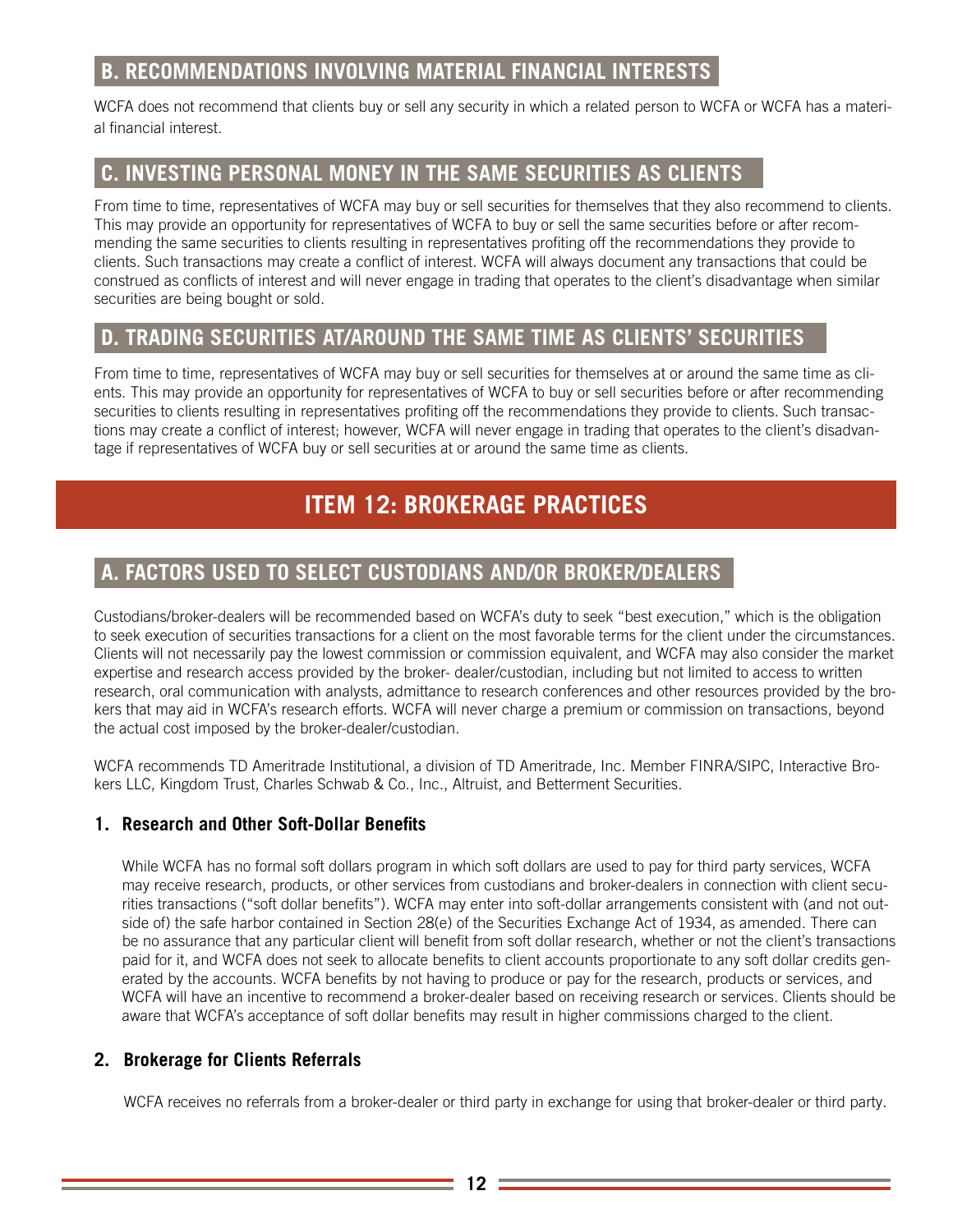## **B. RECOMMENDATIONS INVOLVING MATERIAL FINANCIAL INTERESTS**

WCFA does not recommend that clients buy or sell any security in which a related person to WCFA or WCFA has a material financial interest.

## **C. INVESTING PERSONAL MONEY IN THE SAME SECURITIES AS CLIENTS**

From time to time, representatives of WCFA may buy or sell securities for themselves that they also recommend to clients. This may provide an opportunity for representatives of WCFA to buy or sell the same securities before or after recommending the same securities to clients resulting in representatives profiting off the recommendations they provide to clients. Such transactions may create a conflict of interest. WCFA will always document any transactions that could be construed as conflicts of interest and will never engage in trading that operates to the client's disadvantage when similar securities are being bought or sold.

## **D. TRADING SECURITIES AT/AROUND THE SAME TIME AS CLIENTS' SECURITIES**

From time to time, representatives of WCFA may buy or sell securities for themselves at or around the same time as clients. This may provide an opportunity for representatives of WCFA to buy or sell securities before or after recommending securities to clients resulting in representatives profiting off the recommendations they provide to clients. Such transactions may create a conflict of interest; however, WCFA will never engage in trading that operates to the client's disadvantage if representatives of WCFA buy or sell securities at or around the same time as clients.

# **ITEM 12: BROKERAGE PRACTICES**

### **A. FACTORS USED TO SELECT CUSTODIANS AND/OR BROKER/DEALERS**

Custodians/broker-dealers will be recommended based on WCFA's duty to seek "best execution," which is the obligation to seek execution of securities transactions for a client on the most favorable terms for the client under the circumstances. Clients will not necessarily pay the lowest commission or commission equivalent, and WCFA may also consider the market expertise and research access provided by the broker- dealer/custodian, including but not limited to access to written research, oral communication with analysts, admittance to research conferences and other resources provided by the brokers that may aid in WCFA's research efforts. WCFA will never charge a premium or commission on transactions, beyond the actual cost imposed by the broker-dealer/custodian.

WCFA recommends TD Ameritrade Institutional, a division of TD Ameritrade, Inc. Member FINRA/SIPC, Interactive Brokers LLC, Kingdom Trust, Charles Schwab & Co., Inc., Altruist, and Betterment Securities.

#### **1. Research and Other Soft-Dollar Benefits**

While WCFA has no formal soft dollars program in which soft dollars are used to pay for third party services, WCFA may receive research, products, or other services from custodians and broker-dealers in connection with client securities transactions ("soft dollar benefits"). WCFA may enter into soft-dollar arrangements consistent with (and not outside of) the safe harbor contained in Section 28(e) of the Securities Exchange Act of 1934, as amended. There can be no assurance that any particular client will benefit from soft dollar research, whether or not the client's transactions paid for it, and WCFA does not seek to allocate benefits to client accounts proportionate to any soft dollar credits generated by the accounts. WCFA benefits by not having to produce or pay for the research, products or services, and WCFA will have an incentive to recommend a broker-dealer based on receiving research or services. Clients should be aware that WCFA's acceptance of soft dollar benefits may result in higher commissions charged to the client.

#### **2. Brokerage for Clients Referrals**

WCFA receives no referrals from a broker-dealer or third party in exchange for using that broker-dealer or third party.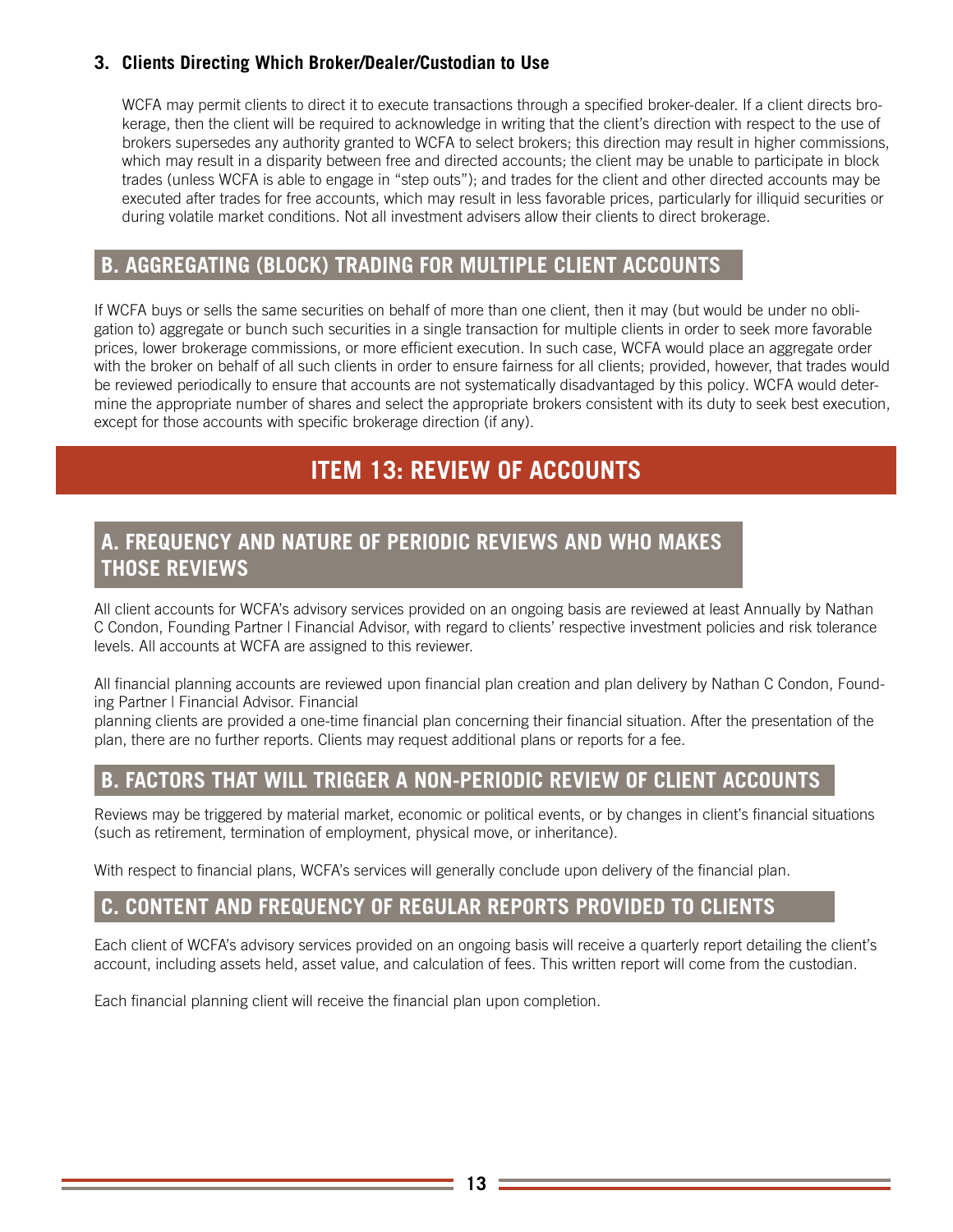#### **3. Clients Directing Which Broker/Dealer/Custodian to Use**

WCFA may permit clients to direct it to execute transactions through a specified broker-dealer. If a client directs brokerage, then the client will be required to acknowledge in writing that the client's direction with respect to the use of brokers supersedes any authority granted to WCFA to select brokers; this direction may result in higher commissions, which may result in a disparity between free and directed accounts; the client may be unable to participate in block trades (unless WCFA is able to engage in "step outs"); and trades for the client and other directed accounts may be executed after trades for free accounts, which may result in less favorable prices, particularly for illiquid securities or during volatile market conditions. Not all investment advisers allow their clients to direct brokerage.

### **B. AGGREGATING (BLOCK) TRADING FOR MULTIPLE CLIENT ACCOUNTS**

If WCFA buys or sells the same securities on behalf of more than one client, then it may (but would be under no obligation to) aggregate or bunch such securities in a single transaction for multiple clients in order to seek more favorable prices, lower brokerage commissions, or more efficient execution. In such case, WCFA would place an aggregate order with the broker on behalf of all such clients in order to ensure fairness for all clients; provided, however, that trades would be reviewed periodically to ensure that accounts are not systematically disadvantaged by this policy. WCFA would determine the appropriate number of shares and select the appropriate brokers consistent with its duty to seek best execution, except for those accounts with specific brokerage direction (if any).

# **ITEM 13: REVIEW OF ACCOUNTS**

## **A. FREQUENCY AND NATURE OF PERIODIC REVIEWS AND WHO MAKES THOSE REVIEWS**

All client accounts for WCFA's advisory services provided on an ongoing basis are reviewed at least Annually by Nathan C Condon, Founding Partner | Financial Advisor, with regard to clients' respective investment policies and risk tolerance levels. All accounts at WCFA are assigned to this reviewer.

All financial planning accounts are reviewed upon financial plan creation and plan delivery by Nathan C Condon, Founding Partner | Financial Advisor. Financial

planning clients are provided a one-time financial plan concerning their financial situation. After the presentation of the plan, there are no further reports. Clients may request additional plans or reports for a fee.

# **B. FACTORS THAT WILL TRIGGER A NON-PERIODIC REVIEW OF CLIENT ACCOUNTS**

Reviews may be triggered by material market, economic or political events, or by changes in client's financial situations (such as retirement, termination of employment, physical move, or inheritance).

With respect to financial plans, WCFA's services will generally conclude upon delivery of the financial plan.

#### **C. CONTENT AND FREQUENCY OF REGULAR REPORTS PROVIDED TO CLIENTS**

Each client of WCFA's advisory services provided on an ongoing basis will receive a quarterly report detailing the client's account, including assets held, asset value, and calculation of fees. This written report will come from the custodian.

Each financial planning client will receive the financial plan upon completion.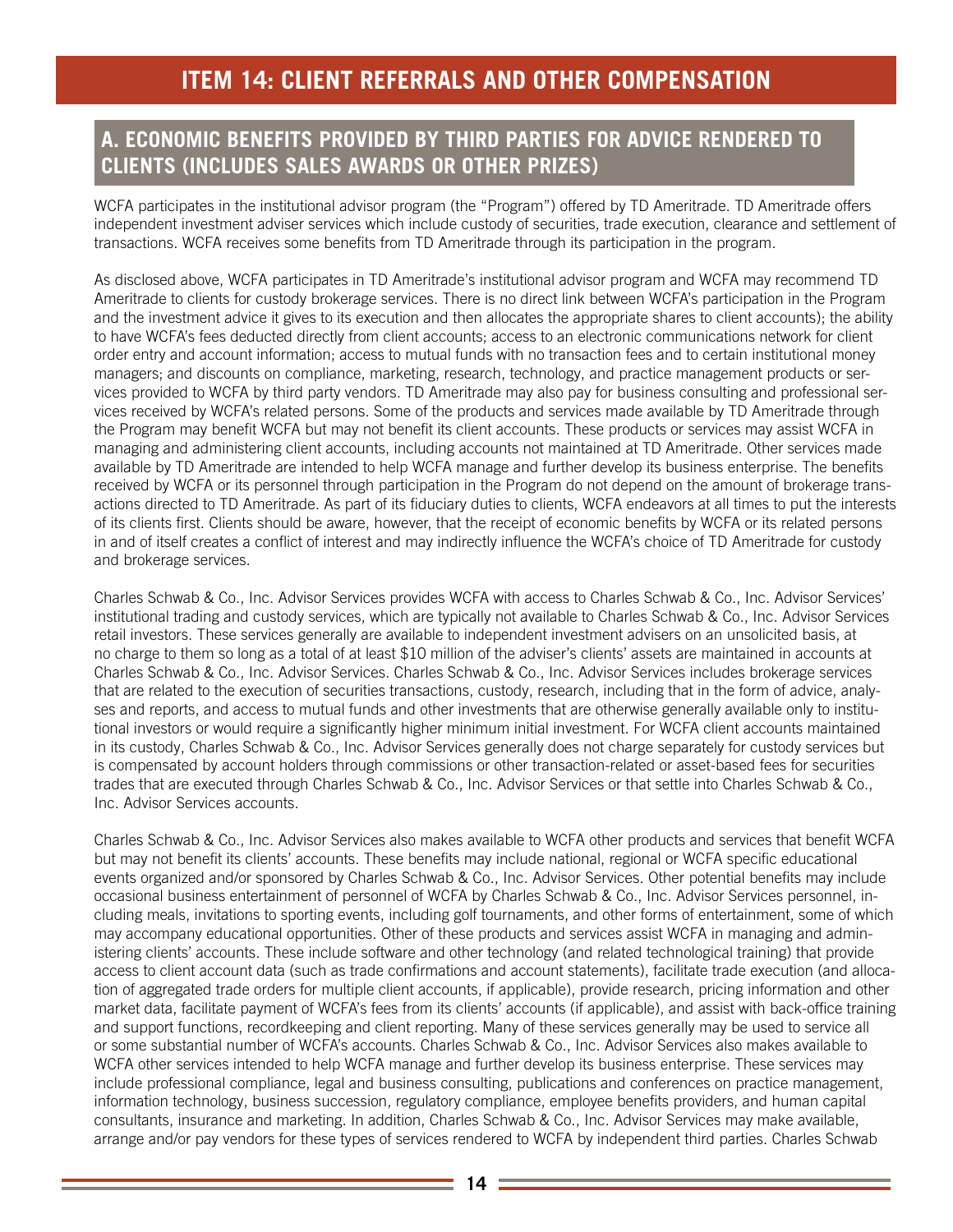## **A. ECONOMIC BENEFITS PROVIDED BY THIRD PARTIES FOR ADVICE RENDERED TO CLIENTS (INCLUDES SALES AWARDS OR OTHER PRIZES)**

WCFA participates in the institutional advisor program (the "Program") offered by TD Ameritrade. TD Ameritrade offers independent investment adviser services which include custody of securities, trade execution, clearance and settlement of transactions. WCFA receives some benefits from TD Ameritrade through its participation in the program.

As disclosed above, WCFA participates in TD Ameritrade's institutional advisor program and WCFA may recommend TD Ameritrade to clients for custody brokerage services. There is no direct link between WCFA's participation in the Program and the investment advice it gives to its execution and then allocates the appropriate shares to client accounts); the ability to have WCFA's fees deducted directly from client accounts; access to an electronic communications network for client order entry and account information; access to mutual funds with no transaction fees and to certain institutional money managers; and discounts on compliance, marketing, research, technology, and practice management products or services provided to WCFA by third party vendors. TD Ameritrade may also pay for business consulting and professional services received by WCFA's related persons. Some of the products and services made available by TD Ameritrade through the Program may benefit WCFA but may not benefit its client accounts. These products or services may assist WCFA in managing and administering client accounts, including accounts not maintained at TD Ameritrade. Other services made available by TD Ameritrade are intended to help WCFA manage and further develop its business enterprise. The benefits received by WCFA or its personnel through participation in the Program do not depend on the amount of brokerage transactions directed to TD Ameritrade. As part of its fiduciary duties to clients, WCFA endeavors at all times to put the interests of its clients first. Clients should be aware, however, that the receipt of economic benefits by WCFA or its related persons in and of itself creates a conflict of interest and may indirectly influence the WCFA's choice of TD Ameritrade for custody and brokerage services.

Charles Schwab & Co., Inc. Advisor Services provides WCFA with access to Charles Schwab & Co., Inc. Advisor Services' institutional trading and custody services, which are typically not available to Charles Schwab & Co., Inc. Advisor Services retail investors. These services generally are available to independent investment advisers on an unsolicited basis, at no charge to them so long as a total of at least \$10 million of the adviser's clients' assets are maintained in accounts at Charles Schwab & Co., Inc. Advisor Services. Charles Schwab & Co., Inc. Advisor Services includes brokerage services that are related to the execution of securities transactions, custody, research, including that in the form of advice, analyses and reports, and access to mutual funds and other investments that are otherwise generally available only to institutional investors or would require a significantly higher minimum initial investment. For WCFA client accounts maintained in its custody, Charles Schwab & Co., Inc. Advisor Services generally does not charge separately for custody services but is compensated by account holders through commissions or other transaction-related or asset-based fees for securities trades that are executed through Charles Schwab & Co., Inc. Advisor Services or that settle into Charles Schwab & Co., Inc. Advisor Services accounts.

Charles Schwab & Co., Inc. Advisor Services also makes available to WCFA other products and services that benefit WCFA but may not benefit its clients' accounts. These benefits may include national, regional or WCFA specific educational events organized and/or sponsored by Charles Schwab & Co., Inc. Advisor Services. Other potential benefits may include occasional business entertainment of personnel of WCFA by Charles Schwab & Co., Inc. Advisor Services personnel, including meals, invitations to sporting events, including golf tournaments, and other forms of entertainment, some of which may accompany educational opportunities. Other of these products and services assist WCFA in managing and administering clients' accounts. These include software and other technology (and related technological training) that provide access to client account data (such as trade confirmations and account statements), facilitate trade execution (and allocation of aggregated trade orders for multiple client accounts, if applicable), provide research, pricing information and other market data, facilitate payment of WCFA's fees from its clients' accounts (if applicable), and assist with back-office training and support functions, recordkeeping and client reporting. Many of these services generally may be used to service all or some substantial number of WCFA's accounts. Charles Schwab & Co., Inc. Advisor Services also makes available to WCFA other services intended to help WCFA manage and further develop its business enterprise. These services may include professional compliance, legal and business consulting, publications and conferences on practice management, information technology, business succession, regulatory compliance, employee benefits providers, and human capital consultants, insurance and marketing. In addition, Charles Schwab & Co., Inc. Advisor Services may make available, arrange and/or pay vendors for these types of services rendered to WCFA by independent third parties. Charles Schwab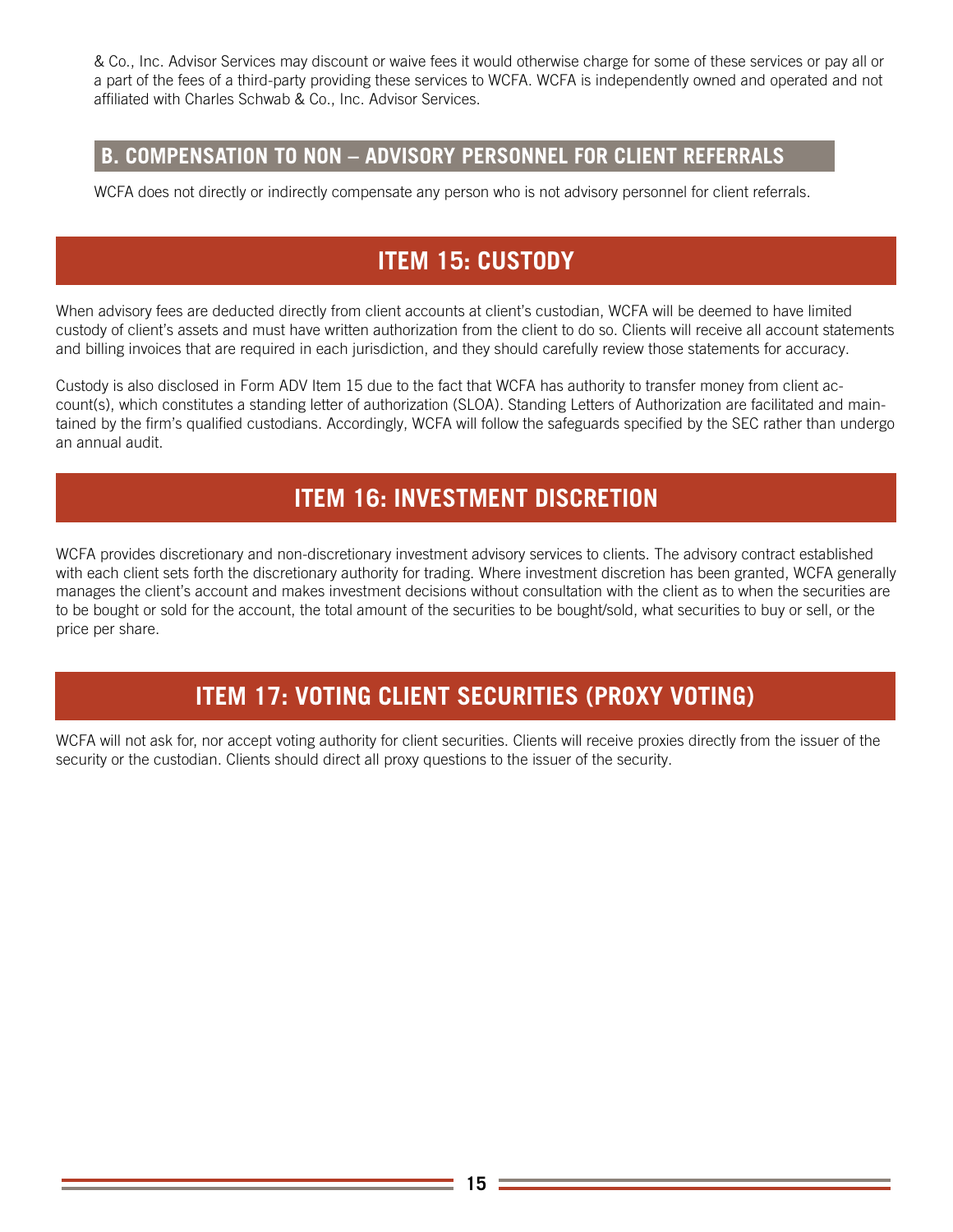& Co., Inc. Advisor Services may discount or waive fees it would otherwise charge for some of these services or pay all or a part of the fees of a third-party providing these services to WCFA. WCFA is independently owned and operated and not affiliated with Charles Schwab & Co., Inc. Advisor Services.

#### **B. COMPENSATION TO NON – ADVISORY PERSONNEL FOR CLIENT REFERRALS**

WCFA does not directly or indirectly compensate any person who is not advisory personnel for client referrals.

# **ITEM 15: CUSTODY**

When advisory fees are deducted directly from client accounts at client's custodian, WCFA will be deemed to have limited custody of client's assets and must have written authorization from the client to do so. Clients will receive all account statements and billing invoices that are required in each jurisdiction, and they should carefully review those statements for accuracy.

Custody is also disclosed in Form ADV Item 15 due to the fact that WCFA has authority to transfer money from client account(s), which constitutes a standing letter of authorization (SLOA). Standing Letters of Authorization are facilitated and maintained by the firm's qualified custodians. Accordingly, WCFA will follow the safeguards specified by the SEC rather than undergo an annual audit.

# **ITEM 16: INVESTMENT DISCRETION**

WCFA provides discretionary and non-discretionary investment advisory services to clients. The advisory contract established with each client sets forth the discretionary authority for trading. Where investment discretion has been granted, WCFA generally manages the client's account and makes investment decisions without consultation with the client as to when the securities are to be bought or sold for the account, the total amount of the securities to be bought/sold, what securities to buy or sell, or the price per share.

# **ITEM 17: VOTING CLIENT SECURITIES (PROXY VOTING)**

WCFA will not ask for, nor accept voting authority for client securities. Clients will receive proxies directly from the issuer of the security or the custodian. Clients should direct all proxy questions to the issuer of the security.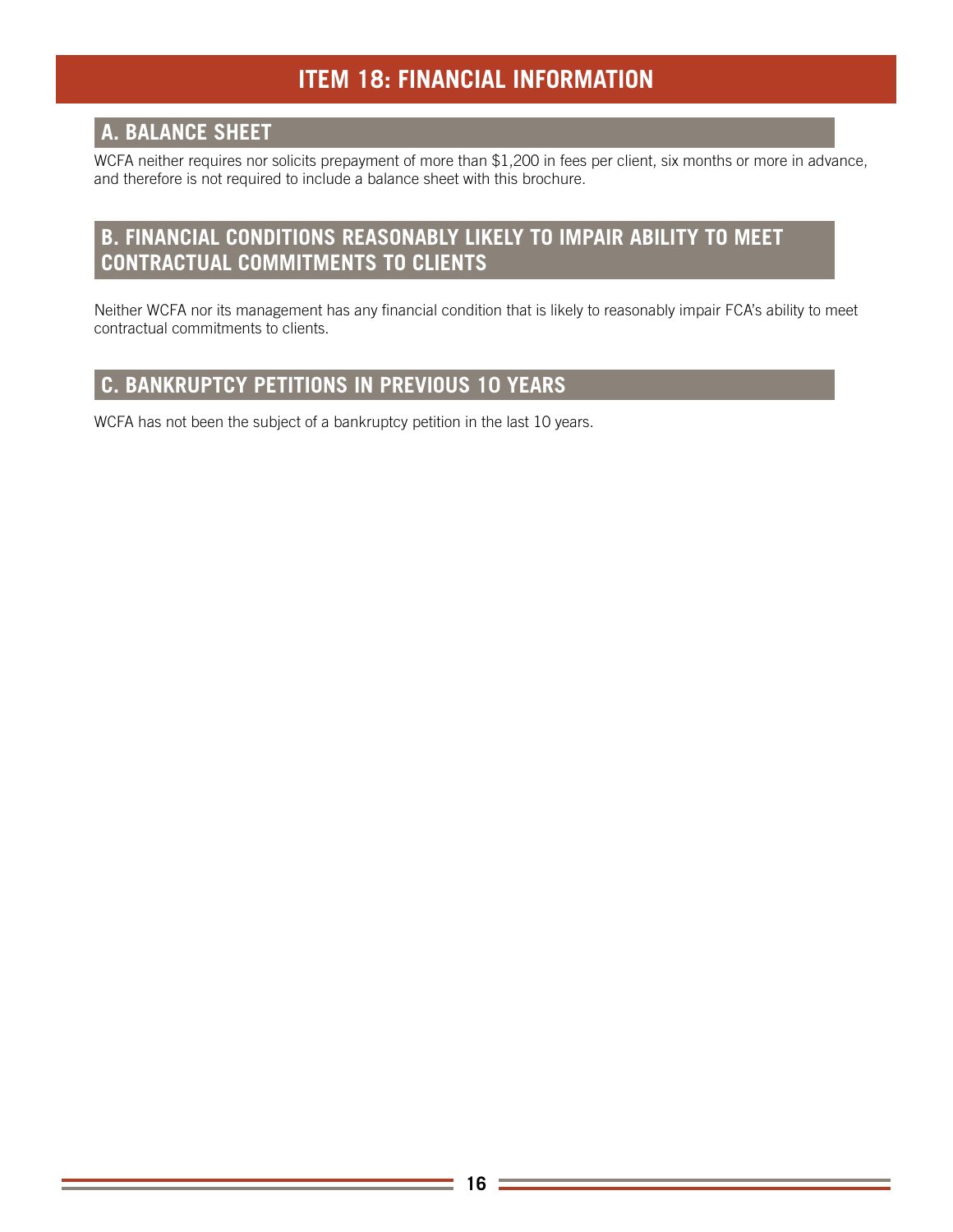# **ITEM 18: FINANCIAL INFORMATION**

# **A. BALANCE SHEET**

WCFA neither requires nor solicits prepayment of more than \$1,200 in fees per client, six months or more in advance, and therefore is not required to include a balance sheet with this brochure.

# **B. FINANCIAL CONDITIONS REASONABLY LIKELY TO IMPAIR ABILITY TO MEET CONTRACTUAL COMMITMENTS TO CLIENTS**

Neither WCFA nor its management has any financial condition that is likely to reasonably impair FCA's ability to meet contractual commitments to clients.

## **C. BANKRUPTCY PETITIONS IN PREVIOUS 10 YEARS**

WCFA has not been the subject of a bankruptcy petition in the last 10 years.